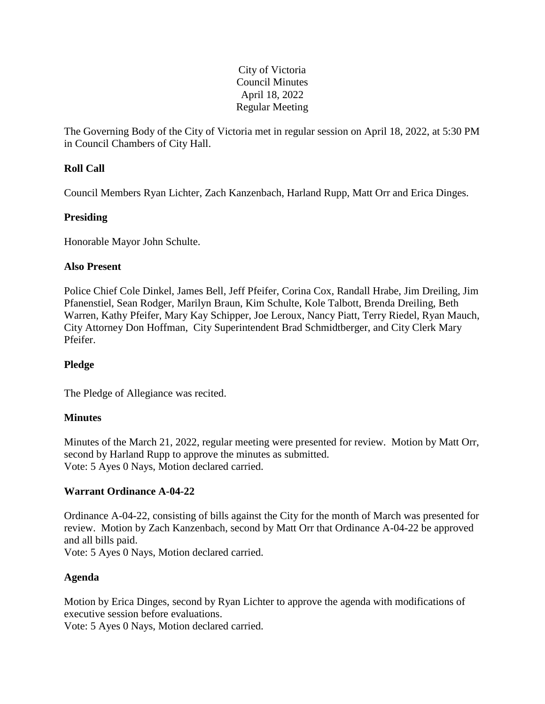# City of Victoria Council Minutes April 18, 2022 Regular Meeting

The Governing Body of the City of Victoria met in regular session on April 18, 2022, at 5:30 PM in Council Chambers of City Hall.

# **Roll Call**

Council Members Ryan Lichter, Zach Kanzenbach, Harland Rupp, Matt Orr and Erica Dinges.

# **Presiding**

Honorable Mayor John Schulte.

# **Also Present**

Police Chief Cole Dinkel, James Bell, Jeff Pfeifer, Corina Cox, Randall Hrabe, Jim Dreiling, Jim Pfanenstiel, Sean Rodger, Marilyn Braun, Kim Schulte, Kole Talbott, Brenda Dreiling, Beth Warren, Kathy Pfeifer, Mary Kay Schipper, Joe Leroux, Nancy Piatt, Terry Riedel, Ryan Mauch, City Attorney Don Hoffman, City Superintendent Brad Schmidtberger, and City Clerk Mary Pfeifer.

# **Pledge**

The Pledge of Allegiance was recited.

# **Minutes**

Minutes of the March 21, 2022, regular meeting were presented for review. Motion by Matt Orr, second by Harland Rupp to approve the minutes as submitted. Vote: 5 Ayes 0 Nays, Motion declared carried.

# **Warrant Ordinance A-04-22**

Ordinance A-04-22, consisting of bills against the City for the month of March was presented for review. Motion by Zach Kanzenbach, second by Matt Orr that Ordinance A-04-22 be approved and all bills paid.

Vote: 5 Ayes 0 Nays, Motion declared carried.

# **Agenda**

Motion by Erica Dinges, second by Ryan Lichter to approve the agenda with modifications of executive session before evaluations.

Vote: 5 Ayes 0 Nays, Motion declared carried.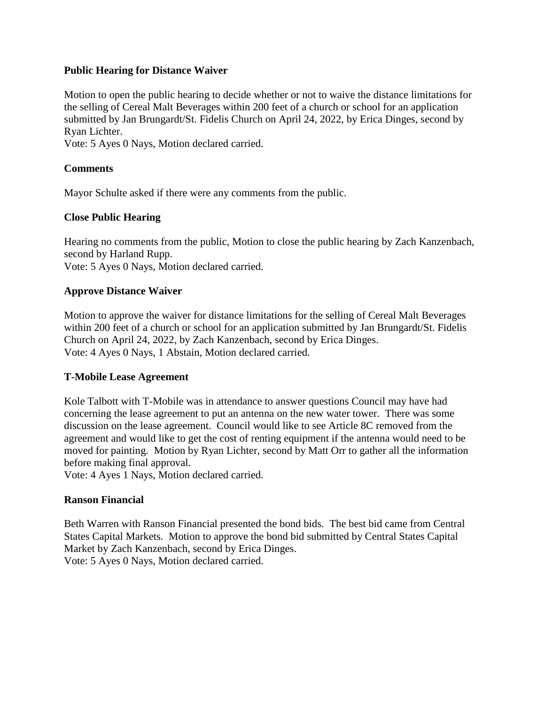## **Public Hearing for Distance Waiver**

Motion to open the public hearing to decide whether or not to waive the distance limitations for the selling of Cereal Malt Beverages within 200 feet of a church or school for an application submitted by Jan Brungardt/St. Fidelis Church on April 24, 2022, by Erica Dinges, second by Ryan Lichter.

Vote: 5 Ayes 0 Nays, Motion declared carried.

# **Comments**

Mayor Schulte asked if there were any comments from the public.

# **Close Public Hearing**

Hearing no comments from the public, Motion to close the public hearing by Zach Kanzenbach, second by Harland Rupp.

Vote: 5 Ayes 0 Nays, Motion declared carried.

# **Approve Distance Waiver**

Motion to approve the waiver for distance limitations for the selling of Cereal Malt Beverages within 200 feet of a church or school for an application submitted by Jan Brungardt/St. Fidelis Church on April 24, 2022, by Zach Kanzenbach, second by Erica Dinges. Vote: 4 Ayes 0 Nays, 1 Abstain, Motion declared carried.

## **T-Mobile Lease Agreement**

Kole Talbott with T-Mobile was in attendance to answer questions Council may have had concerning the lease agreement to put an antenna on the new water tower. There was some discussion on the lease agreement. Council would like to see Article 8C removed from the agreement and would like to get the cost of renting equipment if the antenna would need to be moved for painting. Motion by Ryan Lichter, second by Matt Orr to gather all the information before making final approval.

Vote: 4 Ayes 1 Nays, Motion declared carried.

# **Ranson Financial**

Beth Warren with Ranson Financial presented the bond bids. The best bid came from Central States Capital Markets. Motion to approve the bond bid submitted by Central States Capital Market by Zach Kanzenbach, second by Erica Dinges. Vote: 5 Ayes 0 Nays, Motion declared carried.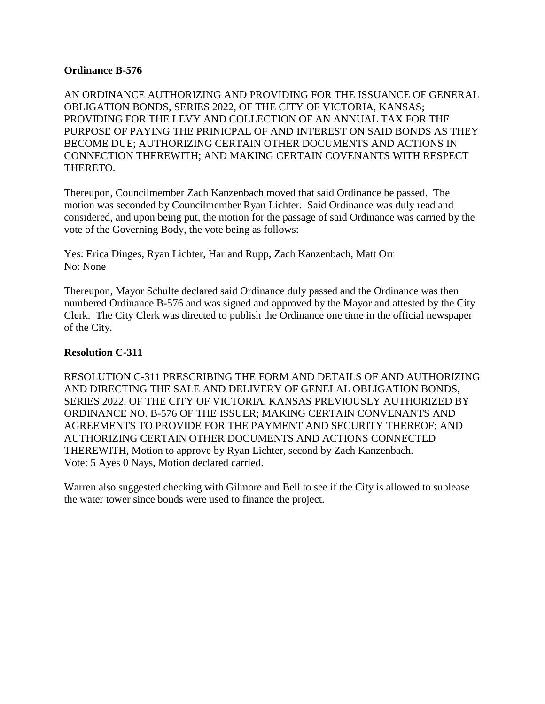## **Ordinance B-576**

AN ORDINANCE AUTHORIZING AND PROVIDING FOR THE ISSUANCE OF GENERAL OBLIGATION BONDS, SERIES 2022, OF THE CITY OF VICTORIA, KANSAS; PROVIDING FOR THE LEVY AND COLLECTION OF AN ANNUAL TAX FOR THE PURPOSE OF PAYING THE PRINICPAL OF AND INTEREST ON SAID BONDS AS THEY BECOME DUE; AUTHORIZING CERTAIN OTHER DOCUMENTS AND ACTIONS IN CONNECTION THEREWITH; AND MAKING CERTAIN COVENANTS WITH RESPECT THERETO.

Thereupon, Councilmember Zach Kanzenbach moved that said Ordinance be passed. The motion was seconded by Councilmember Ryan Lichter. Said Ordinance was duly read and considered, and upon being put, the motion for the passage of said Ordinance was carried by the vote of the Governing Body, the vote being as follows:

Yes: Erica Dinges, Ryan Lichter, Harland Rupp, Zach Kanzenbach, Matt Orr No: None

Thereupon, Mayor Schulte declared said Ordinance duly passed and the Ordinance was then numbered Ordinance B-576 and was signed and approved by the Mayor and attested by the City Clerk. The City Clerk was directed to publish the Ordinance one time in the official newspaper of the City.

## **Resolution C-311**

RESOLUTION C-311 PRESCRIBING THE FORM AND DETAILS OF AND AUTHORIZING AND DIRECTING THE SALE AND DELIVERY OF GENELAL OBLIGATION BONDS, SERIES 2022, OF THE CITY OF VICTORIA, KANSAS PREVIOUSLY AUTHORIZED BY ORDINANCE NO. B-576 OF THE ISSUER; MAKING CERTAIN CONVENANTS AND AGREEMENTS TO PROVIDE FOR THE PAYMENT AND SECURITY THEREOF; AND AUTHORIZING CERTAIN OTHER DOCUMENTS AND ACTIONS CONNECTED THEREWITH, Motion to approve by Ryan Lichter, second by Zach Kanzenbach. Vote: 5 Ayes 0 Nays, Motion declared carried.

Warren also suggested checking with Gilmore and Bell to see if the City is allowed to sublease the water tower since bonds were used to finance the project.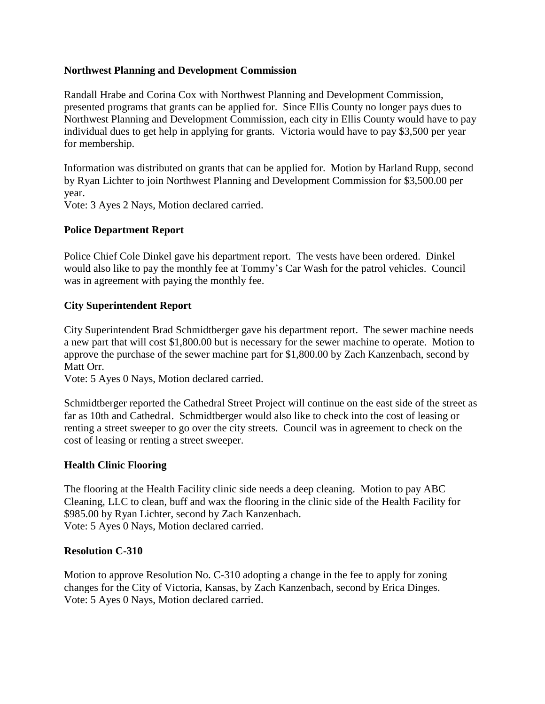# **Northwest Planning and Development Commission**

Randall Hrabe and Corina Cox with Northwest Planning and Development Commission, presented programs that grants can be applied for. Since Ellis County no longer pays dues to Northwest Planning and Development Commission, each city in Ellis County would have to pay individual dues to get help in applying for grants. Victoria would have to pay \$3,500 per year for membership.

Information was distributed on grants that can be applied for. Motion by Harland Rupp, second by Ryan Lichter to join Northwest Planning and Development Commission for \$3,500.00 per year.

Vote: 3 Ayes 2 Nays, Motion declared carried.

# **Police Department Report**

Police Chief Cole Dinkel gave his department report. The vests have been ordered. Dinkel would also like to pay the monthly fee at Tommy's Car Wash for the patrol vehicles. Council was in agreement with paying the monthly fee.

# **City Superintendent Report**

City Superintendent Brad Schmidtberger gave his department report. The sewer machine needs a new part that will cost \$1,800.00 but is necessary for the sewer machine to operate. Motion to approve the purchase of the sewer machine part for \$1,800.00 by Zach Kanzenbach, second by Matt Orr.

Vote: 5 Ayes 0 Nays, Motion declared carried.

Schmidtberger reported the Cathedral Street Project will continue on the east side of the street as far as 10th and Cathedral. Schmidtberger would also like to check into the cost of leasing or renting a street sweeper to go over the city streets. Council was in agreement to check on the cost of leasing or renting a street sweeper.

## **Health Clinic Flooring**

The flooring at the Health Facility clinic side needs a deep cleaning. Motion to pay ABC Cleaning, LLC to clean, buff and wax the flooring in the clinic side of the Health Facility for \$985.00 by Ryan Lichter, second by Zach Kanzenbach. Vote: 5 Ayes 0 Nays, Motion declared carried.

## **Resolution C-310**

Motion to approve Resolution No. C-310 adopting a change in the fee to apply for zoning changes for the City of Victoria, Kansas, by Zach Kanzenbach, second by Erica Dinges. Vote: 5 Ayes 0 Nays, Motion declared carried.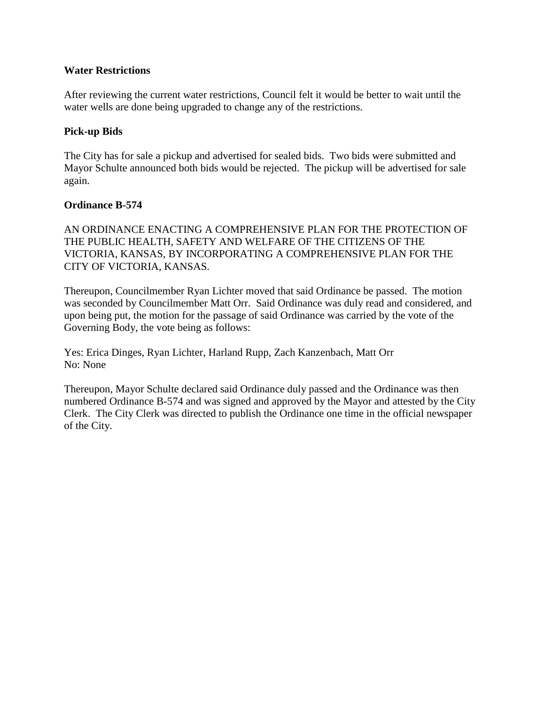## **Water Restrictions**

After reviewing the current water restrictions, Council felt it would be better to wait until the water wells are done being upgraded to change any of the restrictions.

# **Pick-up Bids**

The City has for sale a pickup and advertised for sealed bids. Two bids were submitted and Mayor Schulte announced both bids would be rejected. The pickup will be advertised for sale again.

# **Ordinance B-574**

AN ORDINANCE ENACTING A COMPREHENSIVE PLAN FOR THE PROTECTION OF THE PUBLIC HEALTH, SAFETY AND WELFARE OF THE CITIZENS OF THE VICTORIA, KANSAS, BY INCORPORATING A COMPREHENSIVE PLAN FOR THE CITY OF VICTORIA, KANSAS.

Thereupon, Councilmember Ryan Lichter moved that said Ordinance be passed. The motion was seconded by Councilmember Matt Orr. Said Ordinance was duly read and considered, and upon being put, the motion for the passage of said Ordinance was carried by the vote of the Governing Body, the vote being as follows:

Yes: Erica Dinges, Ryan Lichter, Harland Rupp, Zach Kanzenbach, Matt Orr No: None

Thereupon, Mayor Schulte declared said Ordinance duly passed and the Ordinance was then numbered Ordinance B-574 and was signed and approved by the Mayor and attested by the City Clerk. The City Clerk was directed to publish the Ordinance one time in the official newspaper of the City.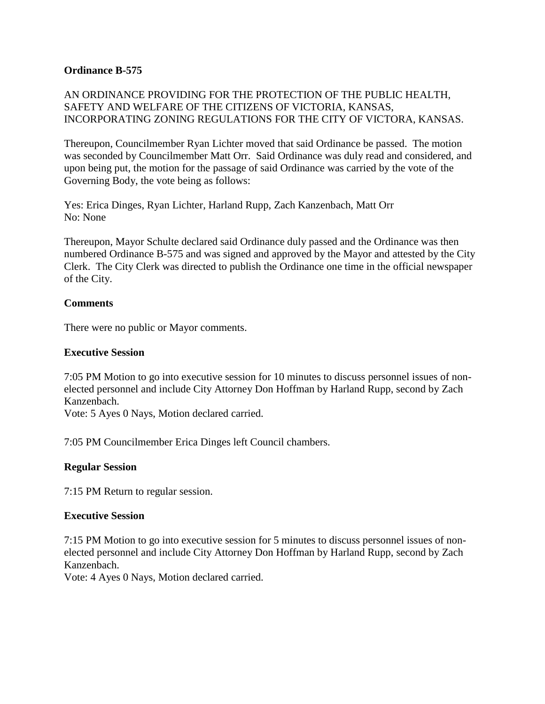# **Ordinance B-575**

# AN ORDINANCE PROVIDING FOR THE PROTECTION OF THE PUBLIC HEALTH, SAFETY AND WELFARE OF THE CITIZENS OF VICTORIA, KANSAS, INCORPORATING ZONING REGULATIONS FOR THE CITY OF VICTORA, KANSAS.

Thereupon, Councilmember Ryan Lichter moved that said Ordinance be passed. The motion was seconded by Councilmember Matt Orr. Said Ordinance was duly read and considered, and upon being put, the motion for the passage of said Ordinance was carried by the vote of the Governing Body, the vote being as follows:

Yes: Erica Dinges, Ryan Lichter, Harland Rupp, Zach Kanzenbach, Matt Orr No: None

Thereupon, Mayor Schulte declared said Ordinance duly passed and the Ordinance was then numbered Ordinance B-575 and was signed and approved by the Mayor and attested by the City Clerk. The City Clerk was directed to publish the Ordinance one time in the official newspaper of the City.

## **Comments**

There were no public or Mayor comments.

#### **Executive Session**

7:05 PM Motion to go into executive session for 10 minutes to discuss personnel issues of nonelected personnel and include City Attorney Don Hoffman by Harland Rupp, second by Zach Kanzenbach.

Vote: 5 Ayes 0 Nays, Motion declared carried.

7:05 PM Councilmember Erica Dinges left Council chambers.

## **Regular Session**

7:15 PM Return to regular session.

#### **Executive Session**

7:15 PM Motion to go into executive session for 5 minutes to discuss personnel issues of nonelected personnel and include City Attorney Don Hoffman by Harland Rupp, second by Zach Kanzenbach.

Vote: 4 Ayes 0 Nays, Motion declared carried.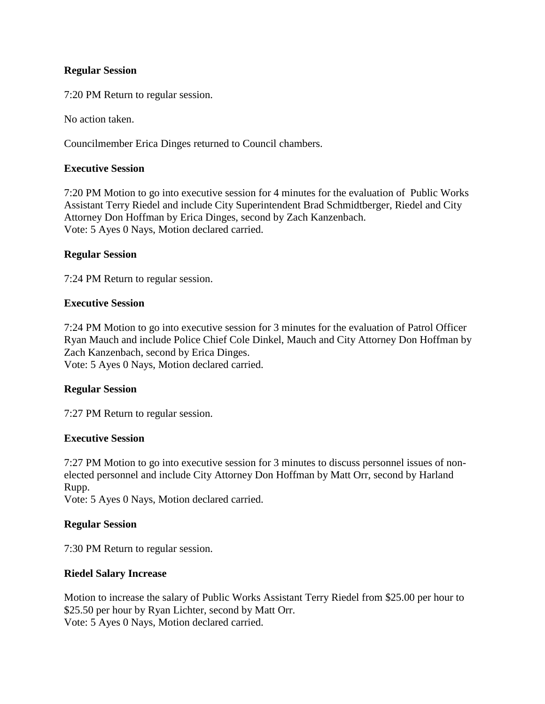## **Regular Session**

7:20 PM Return to regular session.

No action taken.

Councilmember Erica Dinges returned to Council chambers.

## **Executive Session**

7:20 PM Motion to go into executive session for 4 minutes for the evaluation of Public Works Assistant Terry Riedel and include City Superintendent Brad Schmidtberger, Riedel and City Attorney Don Hoffman by Erica Dinges, second by Zach Kanzenbach. Vote: 5 Ayes 0 Nays, Motion declared carried.

## **Regular Session**

7:24 PM Return to regular session.

## **Executive Session**

7:24 PM Motion to go into executive session for 3 minutes for the evaluation of Patrol Officer Ryan Mauch and include Police Chief Cole Dinkel, Mauch and City Attorney Don Hoffman by Zach Kanzenbach, second by Erica Dinges. Vote: 5 Ayes 0 Nays, Motion declared carried.

## **Regular Session**

7:27 PM Return to regular session.

## **Executive Session**

7:27 PM Motion to go into executive session for 3 minutes to discuss personnel issues of nonelected personnel and include City Attorney Don Hoffman by Matt Orr, second by Harland Rupp.

Vote: 5 Ayes 0 Nays, Motion declared carried.

## **Regular Session**

7:30 PM Return to regular session.

## **Riedel Salary Increase**

Motion to increase the salary of Public Works Assistant Terry Riedel from \$25.00 per hour to \$25.50 per hour by Ryan Lichter, second by Matt Orr. Vote: 5 Ayes 0 Nays, Motion declared carried.